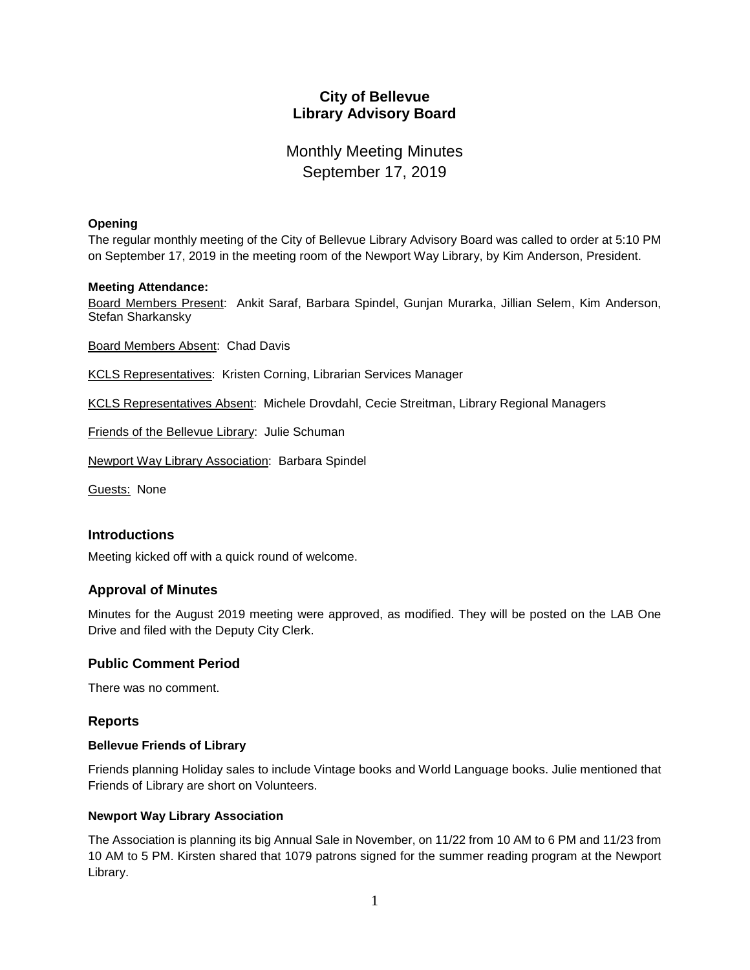# **City of Bellevue Library Advisory Board**

# Monthly Meeting Minutes September 17, 2019

#### **Opening**

The regular monthly meeting of the City of Bellevue Library Advisory Board was called to order at 5:10 PM on September 17, 2019 in the meeting room of the Newport Way Library, by Kim Anderson, President.

#### **Meeting Attendance:**

Board Members Present: Ankit Saraf, Barbara Spindel, Gunjan Murarka, Jillian Selem, Kim Anderson, Stefan Sharkansky

Board Members Absent: Chad Davis

KCLS Representatives: Kristen Corning, Librarian Services Manager

KCLS Representatives Absent: Michele Drovdahl, Cecie Streitman, Library Regional Managers

Friends of the Bellevue Library: Julie Schuman

Newport Way Library Association: Barbara Spindel

Guests: None

## **Introductions**

Meeting kicked off with a quick round of welcome.

## **Approval of Minutes**

Minutes for the August 2019 meeting were approved, as modified. They will be posted on the LAB One Drive and filed with the Deputy City Clerk.

## **Public Comment Period**

There was no comment.

## **Reports**

#### **Bellevue Friends of Library**

Friends planning Holiday sales to include Vintage books and World Language books. Julie mentioned that Friends of Library are short on Volunteers.

## **Newport Way Library Association**

The Association is planning its big Annual Sale in November, on 11/22 from 10 AM to 6 PM and 11/23 from 10 AM to 5 PM. Kirsten shared that 1079 patrons signed for the summer reading program at the Newport Library.